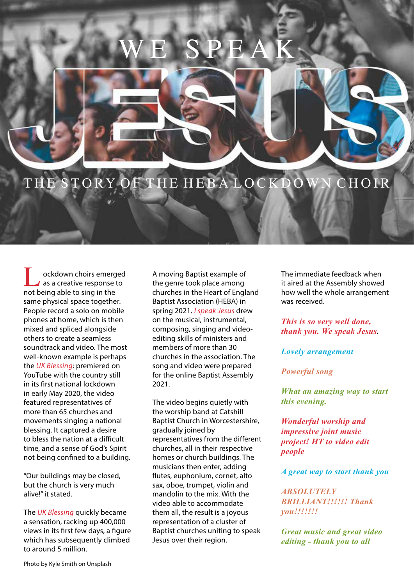## WE SPEAK

THE STORY OF THE HEBA LOCKDOWN CHOIR

ockdown choirs emerged as a creative response to Cockdown choirs emerg<br>
as a creative response<br>
not being able to sing in the same physical space together. People record a solo on mobile phones at home, which is then mixed and spliced alongside others to create a seamless soundtrack and video. The most well-known example is perhaps the *UK Blessing*: premiered on YouTube with the country still in its first national lockdown in early May 2020, the video featured representatives of more than 65 churches and movements singing a national blessing. It captured a desire to bless the nation at a difficult time, and a sense of God's Spirit not being confined to a building.

"Our buildings may be closed, but the church is very much alive!" it stated.

The *UK Blessing* quickly became a sensation, racking up 400,000 views in its first few days, a figure which has subsequently climbed to around 5 million.

A moving Baptist example of the genre took place among churches in the Heart of England Baptist Association (HEBA) in spring 2021. *I speak Jesus* drew on the musical, instrumental, composing, singing and videoediting skills of ministers and members of more than 30 churches in the association. The song and video were prepared for the online Baptist Assembly 2021.

The video begins quietly with the worship band at Catshill Baptist Church in Worcestershire, gradually joined by representatives from the different churches, all in their respective homes or church buildings. The musicians then enter, adding flutes, euphonium, cornet, alto sax, oboe, trumpet, violin and mandolin to the mix. With the video able to accommodate them all, the result is a joyous representation of a cluster of Baptist churches uniting to speak Jesus over their region.

The immediate feedback when it aired at the Assembly showed how well the whole arrangement was received.

*This is so very well done, thank you. We speak Jesus.*

*Lovely arrangement*

*Powerful song*

*What an amazing way to start this evening.*

*Wonderful worship and impressive joint music project! HT to video edit people* 

*A great way to start thank you*

*ABSOLUTELY BRILLIANT!!!!!! Thank you!!!!!!!*

*Great music and great video editing - thank you to all*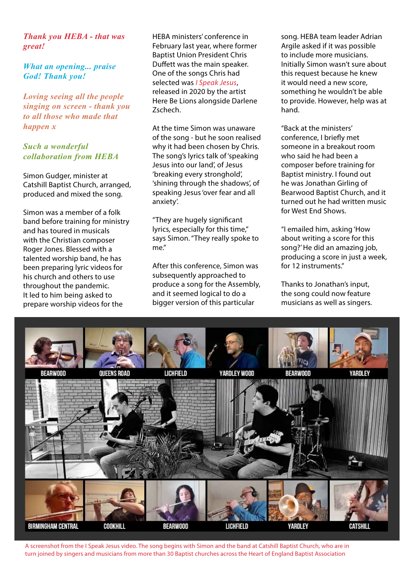## *Thank you HEBA - that was great!*

*What an opening... praise God! Thank you!* 

*Loving seeing all the people singing on screen - thank you to all those who made that happen x*

## *Such a wonderful collaboration from HEBA*

Simon Gudger, minister at Catshill Baptist Church, arranged, produced and mixed the song.

Simon was a member of a folk band before training for ministry and has toured in musicals with the Christian composer Roger Jones. Blessed with a talented worship band, he has been preparing lyric videos for his church and others to use throughout the pandemic. It led to him being asked to prepare worship videos for the

HEBA ministers' conference in February last year, where former Baptist Union President Chris Duffett was the main speaker. One of the songs Chris had selected was *I Speak Jesus*, released in 2020 by the artist Here Be Lions alongside Darlene Zschech.

At the time Simon was unaware of the song - but he soon realised why it had been chosen by Chris. The song's lyrics talk of 'speaking Jesus into our land', of Jesus 'breaking every stronghold', 'shining through the shadows', of speaking Jesus 'over fear and all anxiety'.

"They are hugely significant lyrics, especially for this time," says Simon. "They really spoke to me."

After this conference, Simon was subsequently approached to produce a song for the Assembly, and it seemed logical to do a bigger version of this particular

song. HEBA team leader Adrian Argile asked if it was possible to include more musicians. Initially Simon wasn't sure about this request because he knew it would need a new score, something he wouldn't be able to provide. However, help was at hand.

"Back at the ministers' conference, I briefly met someone in a breakout room who said he had been a composer before training for Baptist ministry. I found out he was Jonathan Girling of Bearwood Baptist Church, and it turned out he had written music for West End Shows.

"I emailed him, asking 'How about writing a score for this song?' He did an amazing job, producing a score in just a week, for 12 instruments"

Thanks to Jonathan's input, the song could now feature musicians as well as singers.



A screenshot from the I Speak Jesus video. The song begins with Simon and the band at Catshill Baptist Church, who are in turn joined by singers and musicians from more than 30 Baptist churches across the Heart of England Baptist Association